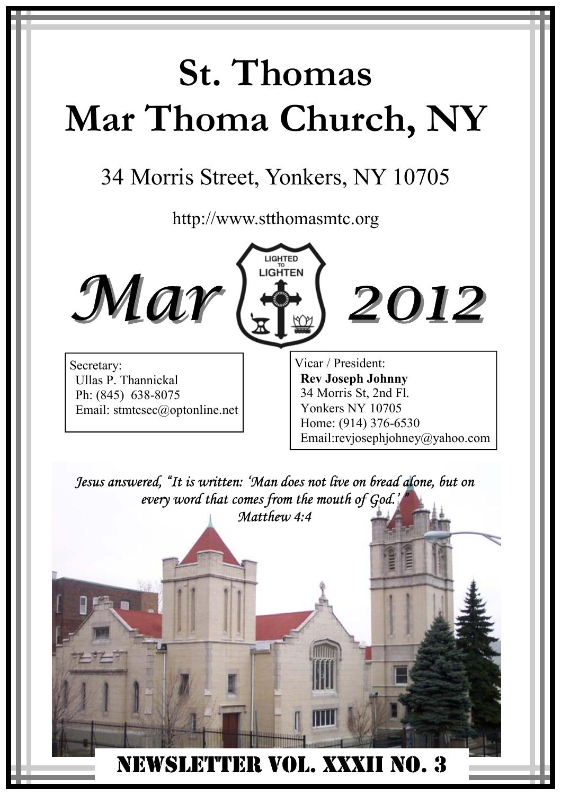# **St. Thomas Mar Thoma Church, NY**

## 34 Morris Street, Yonkers, NY 10705

http://www.stthomasmtc.org





*2012*

Secretary: Ullas P. Thannickal Ph: (845) 638-8075 Email: stmtcsec@optonline.net Vicar / President: **Rev Joseph Johnny**  34 Morris St, 2nd Fl. Yonkers NY 10705 Home: (914) 376-6530 Email:revjosephjohney@yahoo.com

 NEWSLETTER VOL. XXXII NO. 3 *Jesus answered, "It is written: 'Man does not live on bread alone, but on every word that comes from the mouth of God.' " Matthew 4:4*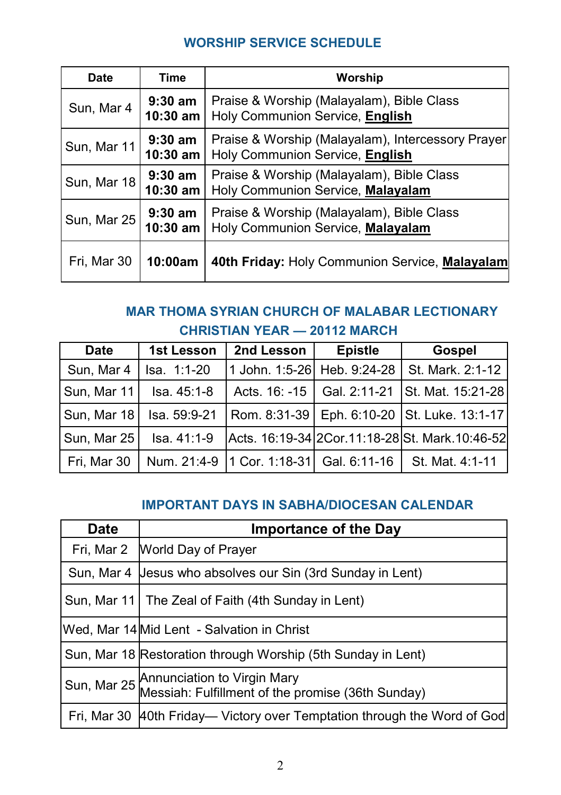#### **WORSHIP SERVICE SCHEDULE**

| <b>Date</b> | Time                    | Worship                                                                              |
|-------------|-------------------------|--------------------------------------------------------------------------------------|
| Sun, Mar 4  | $9:30$ am<br>10:30 am   | Praise & Worship (Malayalam), Bible Class<br>Holy Communion Service, English         |
| Sun, Mar 11 | $9:30$ am<br>$10:30$ am | Praise & Worship (Malayalam), Intercessory Prayer<br>Holy Communion Service, English |
| Sun, Mar 18 | $9:30$ am<br>$10:30$ am | Praise & Worship (Malayalam), Bible Class<br>Holy Communion Service, Malayalam       |
| Sun, Mar 25 | $9:30$ am<br>$10:30$ am | Praise & Worship (Malayalam), Bible Class<br>Holy Communion Service, Malayalam       |
| Fri, Mar 30 | 10:00am                 | 40th Friday: Holy Communion Service, Malayalam                                       |

#### **MAR THOMA SYRIAN CHURCH OF MALABAR LECTIONARY CHRISTIAN YEAR — 20112 MARCH**

| <b>Date</b> | <b>1st Lesson</b> | 2nd Lesson                                  | <b>Epistle</b> | <b>Gospel</b>                                    |
|-------------|-------------------|---------------------------------------------|----------------|--------------------------------------------------|
| Sun, Mar 4  | Isa. 1:1-20       | 1 John. 1:5-26 Heb. 9:24-28                 |                | St. Mark. 2:1-12                                 |
| Sun, Mar 11 | Isa. 45:1-8       |                                             |                | Acts. 16: -15   Gal. 2:11-21   St. Mat. 15:21-28 |
| Sun, Mar 18 | Isa. 59:9-21      |                                             |                | Rom. 8:31-39   Eph. 6:10-20   St. Luke. 13:1-17  |
| Sun, Mar 25 | $Isa. 41:1-9$     |                                             |                | Acts. 16:19-34 2Cor.11:18-28 St. Mark.10:46-52   |
| Fri, Mar 30 |                   | Num. 21:4-9   1 Cor. 1:18-31   Gal. 6:11-16 |                | St. Mat. 4:1-11                                  |

#### **IMPORTANT DAYS IN SABHA/DIOCESAN CALENDAR**

| Date | <b>Importance of the Day</b>                                                                 |
|------|----------------------------------------------------------------------------------------------|
|      | Fri, Mar 2   World Day of Prayer                                                             |
|      | Sun, Mar 4 Jesus who absolves our Sin (3rd Sunday in Lent)                                   |
|      | Sun, Mar 11   The Zeal of Faith (4th Sunday in Lent)                                         |
|      | Wed, Mar 14 Mid Lent - Salvation in Christ                                                   |
|      | Sun, Mar 18 Restoration through Worship (5th Sunday in Lent)                                 |
|      | Sun, Mar 25 Annunciation to Virgin Mary<br>Messiah: Fulfillment of the promise (36th Sunday) |
|      | Fri, Mar 30 40th Friday— Victory over Temptation through the Word of God                     |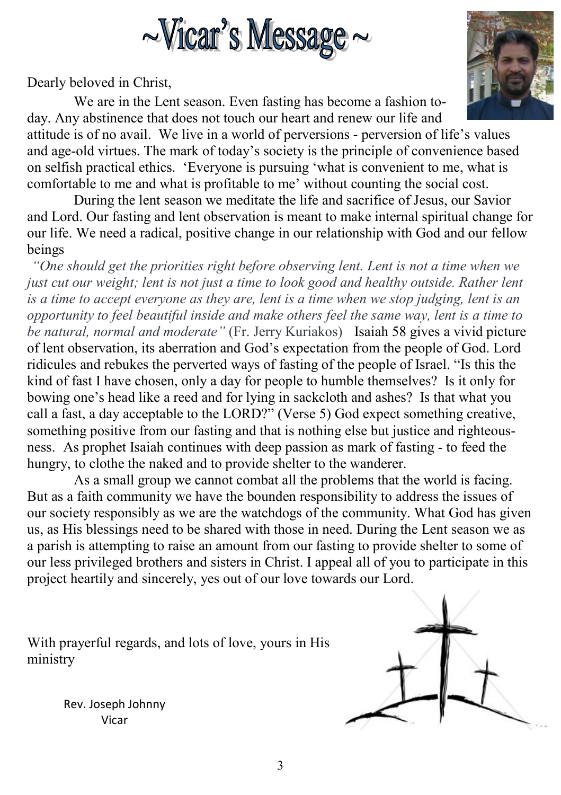

Dearly beloved in Christ,

 We are in the Lent season. Even fasting has become a fashion today. Any abstinence that does not touch our heart and renew our life and

attitude is of no avail. We live in a world of perversions - perversion of life's values and age-old virtues. The mark of today's society is the principle of convenience based on selfish practical ethics. 'Everyone is pursuing 'what is convenient to me, what is comfortable to me and what is profitable to me' without counting the social cost.

 During the lent season we meditate the life and sacrifice of Jesus, our Savior and Lord. Our fasting and lent observation is meant to make internal spiritual change for our life. We need a radical, positive change in our relationship with God and our fellow beings

*"One should get the priorities right before observing lent. Lent is not a time when we just cut our weight; lent is not just a time to look good and healthy outside. Rather lent is a time to accept everyone as they are, lent is a time when we stop judging, lent is an opportunity to feel beautiful inside and make others feel the same way, lent is a time to be natural, normal and moderate"* (Fr. Jerry Kuriakos) Isaiah 58 gives a vivid picture of lent observation, its aberration and God's expectation from the people of God. Lord ridicules and rebukes the perverted ways of fasting of the people of Israel. "Is this the kind of fast I have chosen, only a day for people to humble themselves? Is it only for bowing one's head like a reed and for lying in sackcloth and ashes? Is that what you call a fast, a day acceptable to the LORD?" (Verse 5) God expect something creative, something positive from our fasting and that is nothing else but justice and righteousness. As prophet Isaiah continues with deep passion as mark of fasting - to feed the hungry, to clothe the naked and to provide shelter to the wanderer.

 As a small group we cannot combat all the problems that the world is facing. But as a faith community we have the bounden responsibility to address the issues of our society responsibly as we are the watchdogs of the community. What God has given us, as His blessings need to be shared with those in need. During the Lent season we as a parish is attempting to raise an amount from our fasting to provide shelter to some of our less privileged brothers and sisters in Christ. I appeal all of you to participate in this project heartily and sincerely, yes out of our love towards our Lord.

With prayerful regards, and lots of love, yours in His ministry

> Rev. Joseph Johnny Vicar



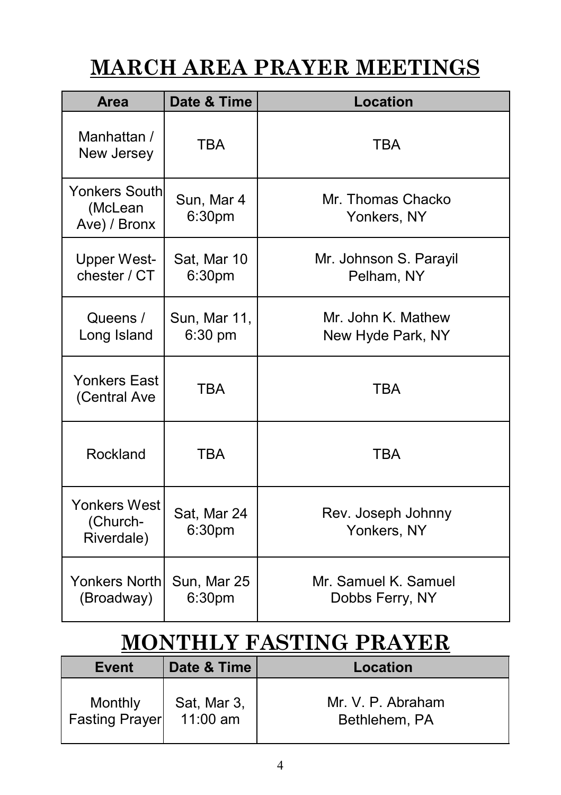## **MARCH AREA PRAYER MEETINGS**

| Area                                            | Date & Time                      | <b>Location</b>                         |
|-------------------------------------------------|----------------------------------|-----------------------------------------|
| Manhattan /<br>New Jersey                       | <b>TBA</b>                       | <b>TBA</b>                              |
| <b>Yonkers South</b><br>(McLean<br>Ave) / Bronx | Sun, Mar 4<br>6:30 <sub>pm</sub> | Mr. Thomas Chacko<br>Yonkers, NY        |
| <b>Upper West-</b><br>chester / CT              | Sat, Mar 10<br>6:30pm            | Mr. Johnson S. Parayil<br>Pelham, NY    |
| Queens /<br>Long Island                         | Sun, Mar 11,<br>6:30 pm          | Mr. John K. Mathew<br>New Hyde Park, NY |
| Yonkers East<br>(Central Ave                    | <b>TBA</b>                       | <b>TBA</b>                              |
| Rockland                                        | <b>TBA</b>                       | <b>TBA</b>                              |
| Yonkers West<br>(Church-<br>Riverdale)          | Sat, Mar 24<br>6:30pm            | Rev. Joseph Johnny<br>Yonkers, NY       |
| <b>Yonkers North</b><br>(Broadway)              | Sun, Mar 25<br>6:30pm            | Mr. Samuel K. Samuel<br>Dobbs Ferry, NY |

## **MONTHLY FASTING PRAYER**

| Event                 | Date & Time | Location          |
|-----------------------|-------------|-------------------|
| Monthly               | Sat, Mar 3, | Mr. V. P. Abraham |
| <b>Fasting Prayer</b> | $11:00$ am  | Bethlehem, PA     |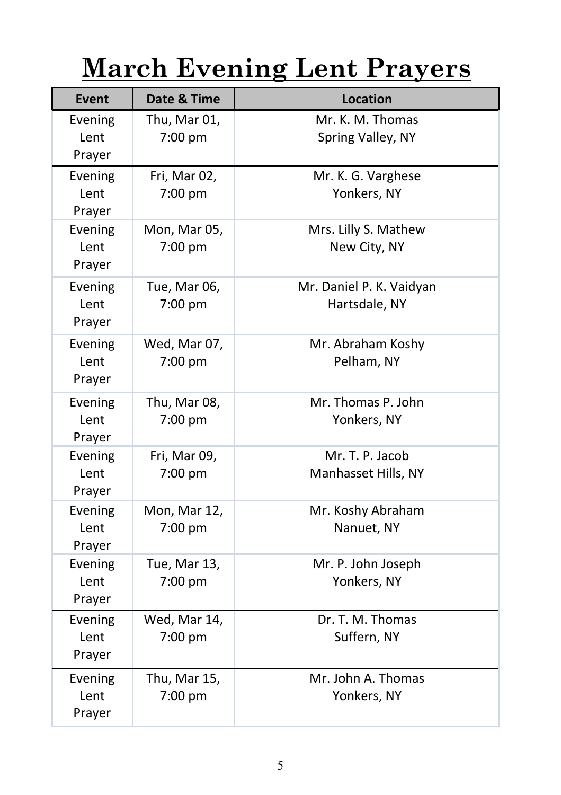# **March Evening Lent Prayers**

| <b>Event</b>              | Date & Time             | <b>Location</b>                           |
|---------------------------|-------------------------|-------------------------------------------|
| Evening<br>Lent<br>Prayer | Thu, Mar 01,<br>7:00 pm | Mr. K. M. Thomas<br>Spring Valley, NY     |
| Evening<br>Lent<br>Prayer | Fri, Mar 02,<br>7:00 pm | Mr. K. G. Varghese<br>Yonkers, NY         |
| Evening<br>Lent<br>Prayer | Mon, Mar 05,<br>7:00 pm | Mrs. Lilly S. Mathew<br>New City, NY      |
| Evening<br>Lent<br>Prayer | Tue, Mar 06,<br>7:00 pm | Mr. Daniel P. K. Vaidyan<br>Hartsdale, NY |
| Evening<br>Lent<br>Prayer | Wed, Mar 07,<br>7:00 pm | Mr. Abraham Koshy<br>Pelham, NY           |
| Evening<br>Lent<br>Prayer | Thu, Mar 08,<br>7:00 pm | Mr. Thomas P. John<br>Yonkers, NY         |
| Evening<br>Lent<br>Prayer | Fri, Mar 09,<br>7:00 pm | Mr. T. P. Jacob<br>Manhasset Hills, NY    |
| Evening<br>Lent<br>Prayer | Mon, Mar 12,<br>7:00 pm | Mr. Koshy Abraham<br>Nanuet, NY           |
| Evening<br>Lent<br>Prayer | Tue, Mar 13,<br>7:00 pm | Mr. P. John Joseph<br>Yonkers, NY         |
| Evening<br>Lent<br>Prayer | Wed, Mar 14,<br>7:00 pm | Dr. T. M. Thomas<br>Suffern, NY           |
| Evening<br>Lent<br>Prayer | Thu, Mar 15,<br>7:00 pm | Mr. John A. Thomas<br>Yonkers, NY         |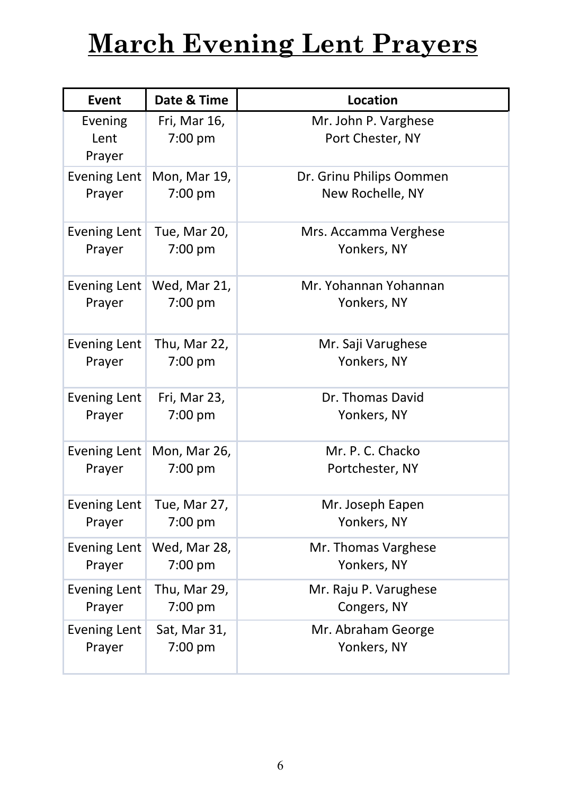## **March Evening Lent Prayers**

| Event                     | Date & Time             | <b>Location</b>                          |
|---------------------------|-------------------------|------------------------------------------|
| Evening<br>Lent<br>Prayer | Fri, Mar 16,<br>7:00 pm | Mr. John P. Varghese<br>Port Chester, NY |
| <b>Evening Lent</b>       | Mon, Mar 19,            | Dr. Grinu Philips Oommen                 |
| Prayer                    | 7:00 pm                 | New Rochelle, NY                         |
| <b>Evening Lent</b>       | Tue, Mar 20,            | Mrs. Accamma Verghese                    |
| Prayer                    | 7:00 pm                 | Yonkers, NY                              |
| <b>Evening Lent</b>       | Wed, Mar 21,            | Mr. Yohannan Yohannan                    |
| Prayer                    | $7:00$ pm               | Yonkers, NY                              |
| <b>Evening Lent</b>       | Thu, Mar 22,            | Mr. Saji Varughese                       |
| Prayer                    | 7:00 pm                 | Yonkers, NY                              |
| <b>Evening Lent</b>       | Fri, Mar 23,            | Dr. Thomas David                         |
| Prayer                    | 7:00 pm                 | Yonkers, NY                              |
| <b>Evening Lent</b>       | Mon, Mar 26,            | Mr. P. C. Chacko                         |
| Prayer                    | 7:00 pm                 | Portchester, NY                          |
| <b>Evening Lent</b>       | Tue, Mar 27,            | Mr. Joseph Eapen                         |
| Prayer                    | 7:00 pm                 | Yonkers, NY                              |
| <b>Evening Lent</b>       | Wed, Mar 28,            | Mr. Thomas Varghese                      |
| Prayer                    | 7:00 pm                 | Yonkers, NY                              |
| <b>Evening Lent</b>       | Thu, Mar 29,            | Mr. Raju P. Varughese                    |
| Prayer                    | 7:00 pm                 | Congers, NY                              |
| <b>Evening Lent</b>       | Sat, Mar 31,            | Mr. Abraham George                       |
| Prayer                    | 7:00 pm                 | Yonkers, NY                              |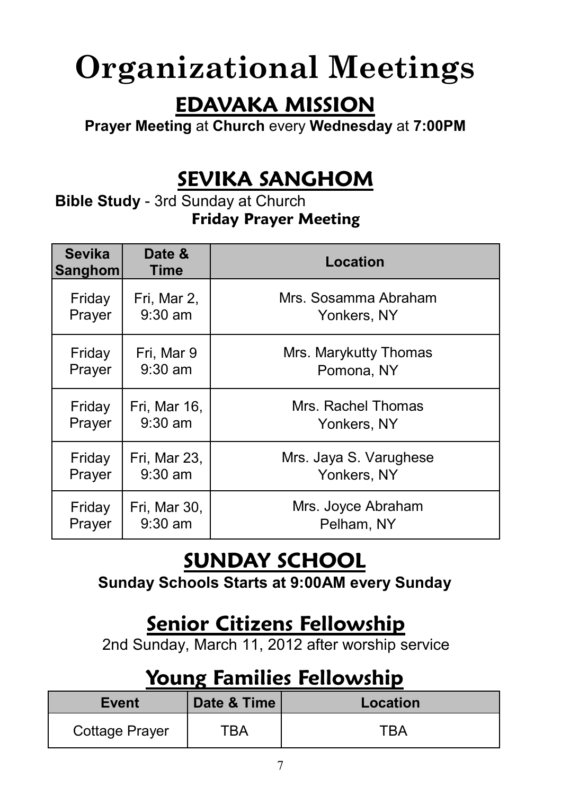# **Organizational Meetings**

#### **EDAVAKA MISSION**

**Prayer Meeting** at **Church** every **Wednesday** at **7:00PM** 

### **SEVIKA SANGHOM**

**Bible Study** - 3rd Sunday at Church **Friday Prayer Meeting**

| <b>Sevika</b><br>Sanghom | Date &<br>Time | Location               |
|--------------------------|----------------|------------------------|
| Friday                   | Fri, Mar 2,    | Mrs. Sosamma Abraham   |
| Prayer                   | $9:30$ am      | Yonkers, NY            |
| Friday                   | Fri, Mar 9     | Mrs. Marykutty Thomas  |
| Prayer                   | $9:30$ am      | Pomona, NY             |
| Friday                   | Fri, Mar 16,   | Mrs. Rachel Thomas     |
| Prayer                   | $9:30$ am      | Yonkers, NY            |
| Friday                   | Fri, Mar 23,   | Mrs. Jaya S. Varughese |
| Prayer                   | $9:30$ am      | Yonkers, NY            |
| Friday                   | Fri, Mar 30,   | Mrs. Joyce Abraham     |
| Prayer                   | $9:30$ am      | Pelham, NY             |

## **SUNDAY SCHOOL**

**Sunday Schools Starts at 9:00AM every Sunday**

#### **Senior Citizens Fellowship**

2nd Sunday, March 11, 2012 after worship service

### **Young Families Fellowship**

| <b>Event</b>   | Date & Time | Location |
|----------------|-------------|----------|
| Cottage Prayer | TRA         | TRA      |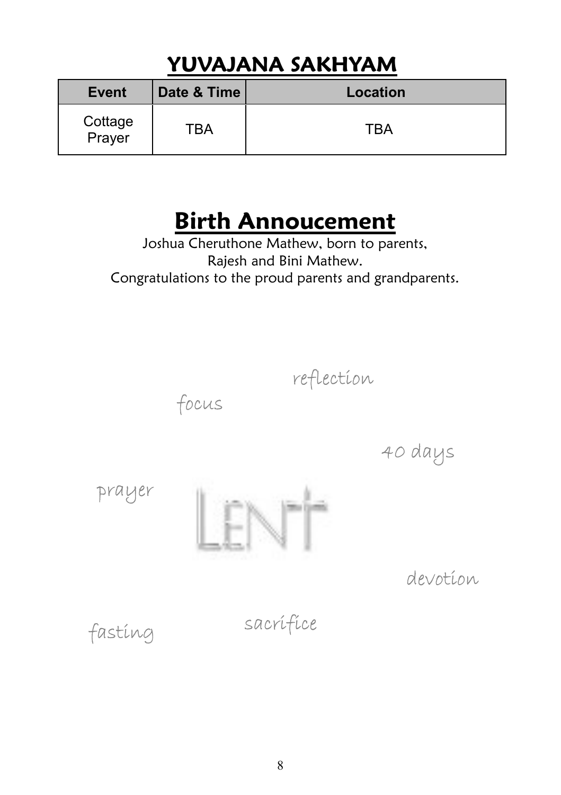## **YUVAJANA SAKHYAM**

| Event             | Date & Time | Location |
|-------------------|-------------|----------|
| Cottage<br>Prayer | тва         | TRA      |

## **Birth Annoucement**

Joshua Cheruthone Mathew, born to parents, Rajesh and Bini Mathew. Congratulations to the proud parents and grandparents.



40 days

prayer



focus

devotion

sacrifice fasting